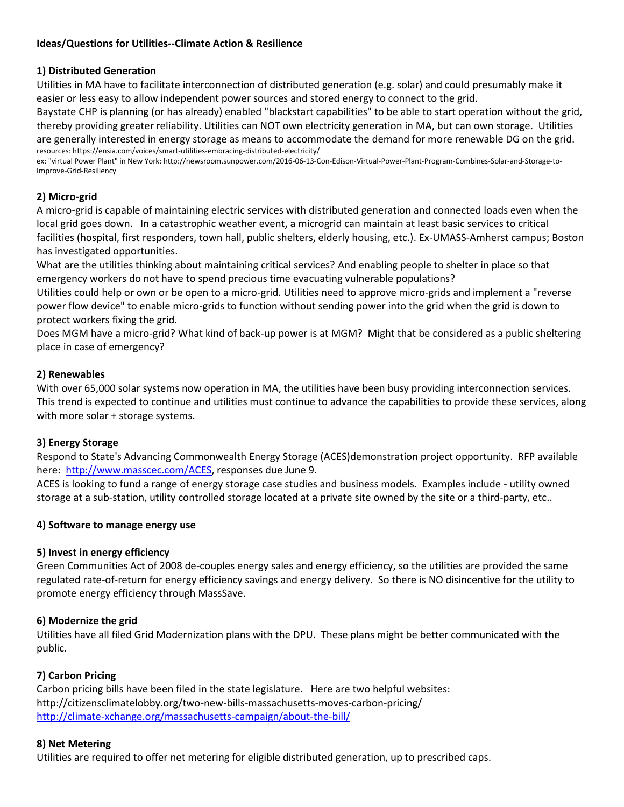## **Ideas/Questions for Utilities--Climate Action & Resilience**

#### **1) Distributed Generation**

Utilities in MA have to facilitate interconnection of distributed generation (e.g. solar) and could presumably make it easier or less easy to allow independent power sources and stored energy to connect to the grid.

Baystate CHP is planning (or has already) enabled "blackstart capabilities" to be able to start operation without the grid, thereby providing greater reliability. Utilities can NOT own electricity generation in MA, but can own storage. Utilities are generally interested in energy storage as means to accommodate the demand for more renewable DG on the grid. resources: https://ensia.com/voices/smart-utilities-embracing-distributed-electricity/

ex: "virtual Power Plant" in New York: http://newsroom.sunpower.com/2016-06-13-Con-Edison-Virtual-Power-Plant-Program-Combines-Solar-and-Storage-to-Improve-Grid-Resiliency

## **2) Micro-grid**

A micro-grid is capable of maintaining electric services with distributed generation and connected loads even when the local grid goes down. In a catastrophic weather event, a microgrid can maintain at least basic services to critical facilities (hospital, first responders, town hall, public shelters, elderly housing, etc.). Ex-UMASS-Amherst campus; Boston has investigated opportunities.

What are the utilities thinking about maintaining critical services? And enabling people to shelter in place so that emergency workers do not have to spend precious time evacuating vulnerable populations?

Utilities could help or own or be open to a micro-grid. Utilities need to approve micro-grids and implement a "reverse power flow device" to enable micro-grids to function without sending power into the grid when the grid is down to protect workers fixing the grid.

Does MGM have a micro-grid? What kind of back-up power is at MGM? Might that be considered as a public sheltering place in case of emergency?

## **2) Renewables**

With over 65,000 solar systems now operation in MA, the utilities have been busy providing interconnection services. This trend is expected to continue and utilities must continue to advance the capabilities to provide these services, along with more solar + storage systems.

# **3) Energy Storage**

Respond to State's Advancing Commonwealth Energy Storage (ACES)demonstration project opportunity. RFP available here: [http://www.masscec.com/ACES,](http://www.masscec.com/ACES) responses due June 9.

ACES is looking to fund a range of energy storage case studies and business models. Examples include - utility owned storage at a sub-station, utility controlled storage located at a private site owned by the site or a third-party, etc..

#### **4) Software to manage energy use**

#### **5) Invest in energy efficiency**

Green Communities Act of 2008 de-couples energy sales and energy efficiency, so the utilities are provided the same regulated rate-of-return for energy efficiency savings and energy delivery. So there is NO disincentive for the utility to promote energy efficiency through MassSave.

#### **6) Modernize the grid**

Utilities have all filed Grid Modernization plans with the DPU. These plans might be better communicated with the public.

#### **7) Carbon Pricing**

Carbon pricing bills have been filed in the state legislature. Here are two helpful websites: http://citizensclimatelobby.org/two-new-bills-massachusetts-moves-carbon-pricing/ <http://climate-xchange.org/massachusetts-campaign/about-the-bill/>

#### **8) Net Metering**

Utilities are required to offer net metering for eligible distributed generation, up to prescribed caps.